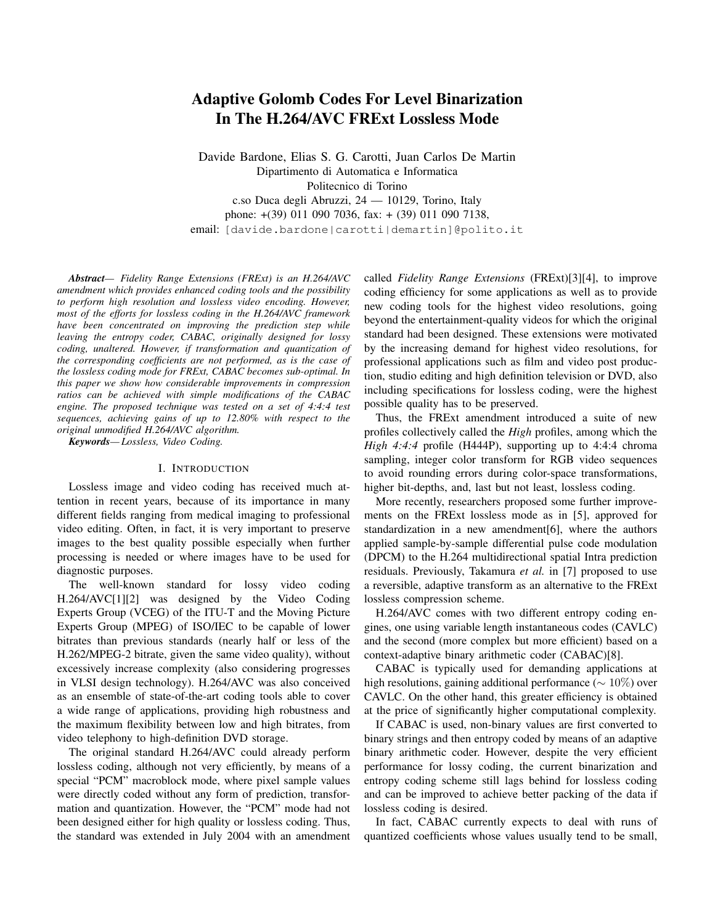# Adaptive Golomb Codes For Level Binarization In The H.264/AVC FRExt Lossless Mode

Davide Bardone, Elias S. G. Carotti, Juan Carlos De Martin Dipartimento di Automatica e Informatica Politecnico di Torino c.so Duca degli Abruzzi, 24 — 10129, Torino, Italy phone: +(39) 011 090 7036, fax: + (39) 011 090 7138, email: [davide.bardone|carotti|demartin]@polito.it

*Abstract— Fidelity Range Extensions (FRExt) is an H.264/AVC amendment which provides enhanced coding tools and the possibility to perform high resolution and lossless video encoding. However, most of the efforts for lossless coding in the H.264/AVC framework have been concentrated on improving the prediction step while leaving the entropy coder, CABAC, originally designed for lossy coding, unaltered. However, if transformation and quantization of the corresponding coefficients are not performed, as is the case of the lossless coding mode for FRExt, CABAC becomes sub-optimal. In this paper we show how considerable improvements in compression ratios can be achieved with simple modifications of the CABAC engine. The proposed technique was tested on a set of 4:4:4 test sequences, achieving gains of up to 12.80% with respect to the original unmodified H.264/AVC algorithm.*

*Keywords— Lossless, Video Coding.*

### I. INTRODUCTION

Lossless image and video coding has received much attention in recent years, because of its importance in many different fields ranging from medical imaging to professional video editing. Often, in fact, it is very important to preserve images to the best quality possible especially when further processing is needed or where images have to be used for diagnostic purposes.

The well-known standard for lossy video coding H.264/AVC[1][2] was designed by the Video Coding Experts Group (VCEG) of the ITU-T and the Moving Picture Experts Group (MPEG) of ISO/IEC to be capable of lower bitrates than previous standards (nearly half or less of the H.262/MPEG-2 bitrate, given the same video quality), without excessively increase complexity (also considering progresses in VLSI design technology). H.264/AVC was also conceived as an ensemble of state-of-the-art coding tools able to cover a wide range of applications, providing high robustness and the maximum flexibility between low and high bitrates, from video telephony to high-definition DVD storage.

The original standard H.264/AVC could already perform lossless coding, although not very efficiently, by means of a special "PCM" macroblock mode, where pixel sample values were directly coded without any form of prediction, transformation and quantization. However, the "PCM" mode had not been designed either for high quality or lossless coding. Thus, the standard was extended in July 2004 with an amendment called *Fidelity Range Extensions* (FRExt)[3][4], to improve coding efficiency for some applications as well as to provide new coding tools for the highest video resolutions, going beyond the entertainment-quality videos for which the original standard had been designed. These extensions were motivated by the increasing demand for highest video resolutions, for professional applications such as film and video post production, studio editing and high definition television or DVD, also including specifications for lossless coding, were the highest possible quality has to be preserved.

Thus, the FRExt amendment introduced a suite of new profiles collectively called the *High* profiles, among which the *High 4:4:4* profile (H444P), supporting up to 4:4:4 chroma sampling, integer color transform for RGB video sequences to avoid rounding errors during color-space transformations, higher bit-depths, and, last but not least, lossless coding.

More recently, researchers proposed some further improvements on the FRExt lossless mode as in [5], approved for standardization in a new amendment[6], where the authors applied sample-by-sample differential pulse code modulation (DPCM) to the H.264 multidirectional spatial Intra prediction residuals. Previously, Takamura *et al.* in [7] proposed to use a reversible, adaptive transform as an alternative to the FRExt lossless compression scheme.

H.264/AVC comes with two different entropy coding engines, one using variable length instantaneous codes (CAVLC) and the second (more complex but more efficient) based on a context-adaptive binary arithmetic coder (CABAC)[8].

CABAC is typically used for demanding applications at high resolutions, gaining additional performance ( $\sim 10\%$ ) over CAVLC. On the other hand, this greater efficiency is obtained at the price of significantly higher computational complexity.

If CABAC is used, non-binary values are first converted to binary strings and then entropy coded by means of an adaptive binary arithmetic coder. However, despite the very efficient performance for lossy coding, the current binarization and entropy coding scheme still lags behind for lossless coding and can be improved to achieve better packing of the data if lossless coding is desired.

In fact, CABAC currently expects to deal with runs of quantized coefficients whose values usually tend to be small,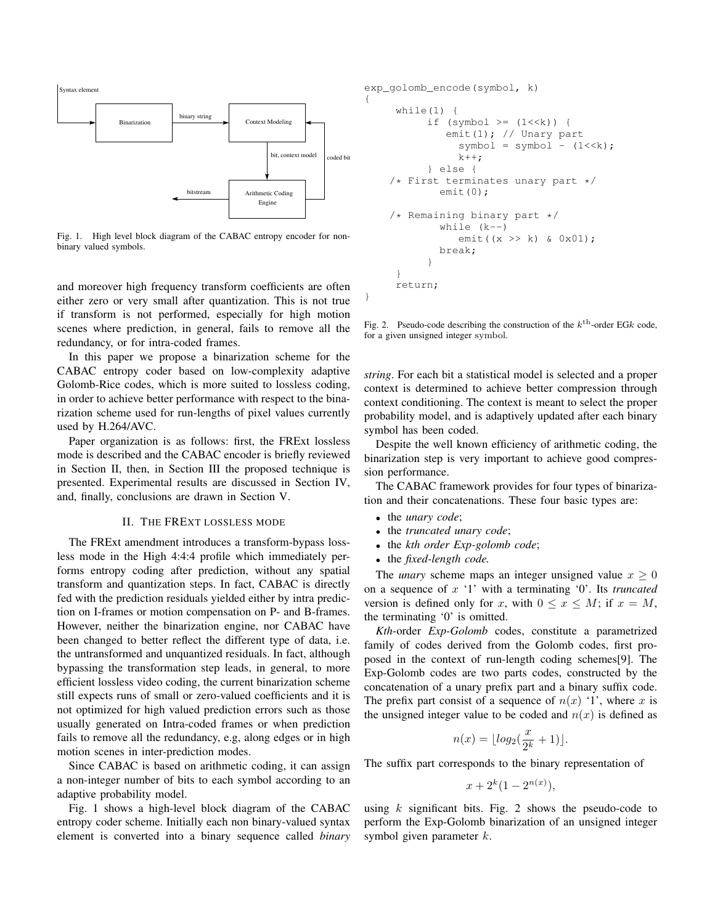

Fig. 1. High level block diagram of the CABAC entropy encoder for nonbinary valued symbols.

and moreover high frequency transform coefficients are often either zero or very small after quantization. This is not true if transform is not performed, especially for high motion scenes where prediction, in general, fails to remove all the redundancy, or for intra-coded frames.

In this paper we propose a binarization scheme for the CABAC entropy coder based on low-complexity adaptive Golomb-Rice codes, which is more suited to lossless coding, in order to achieve better performance with respect to the binarization scheme used for run-lengths of pixel values currently used by H.264/AVC.

Paper organization is as follows: first, the FRExt lossless mode is described and the CABAC encoder is briefly reviewed in Section II, then, in Section III the proposed technique is presented. Experimental results are discussed in Section IV, and, finally, conclusions are drawn in Section V.

## II. THE FREXT LOSSLESS MODE

The FRExt amendment introduces a transform-bypass lossless mode in the High 4:4:4 profile which immediately performs entropy coding after prediction, without any spatial transform and quantization steps. In fact, CABAC is directly fed with the prediction residuals yielded either by intra prediction on I-frames or motion compensation on P- and B-frames. However, neither the binarization engine, nor CABAC have been changed to better reflect the different type of data, i.e. the untransformed and unquantized residuals. In fact, although bypassing the transformation step leads, in general, to more efficient lossless video coding, the current binarization scheme still expects runs of small or zero-valued coefficients and it is not optimized for high valued prediction errors such as those usually generated on Intra-coded frames or when prediction fails to remove all the redundancy, e.g, along edges or in high motion scenes in inter-prediction modes.

Since CABAC is based on arithmetic coding, it can assign a non-integer number of bits to each symbol according to an adaptive probability model.

Fig. 1 shows a high-level block diagram of the CABAC entropy coder scheme. Initially each non binary-valued syntax element is converted into a binary sequence called *binary*

```
exp_golomb_encode(symbol, k)
{
     while(1) {
          if (symbol >= (1<<k)) {
             emit(1); // Unary part
               symbol1 = symbol - (1<<k);k++;} else {
    /* First terminates unary part */
            emit(0);
    /* Remaining binary part */
            while (k--)
               emit((x >> k) & 0x01);
            break;
          }
     }
     return;
}
```
Fig. 2. Pseudo-code describing the construction of the  $k^{\text{th}}$ -order EGk code, for a given unsigned integer symbol.

*string*. For each bit a statistical model is selected and a proper context is determined to achieve better compression through context conditioning. The context is meant to select the proper probability model, and is adaptively updated after each binary symbol has been coded.

Despite the well known efficiency of arithmetic coding, the binarization step is very important to achieve good compression performance.

The CABAC framework provides for four types of binarization and their concatenations. These four basic types are:

- the *unary code*;
- the *truncated unary code*;
- the *kth order Exp-golomb code*;
- the *fixed-length code.*

The *unary* scheme maps an integer unsigned value  $x > 0$ on a sequence of x '1' with a terminating '0'. Its *truncated* version is defined only for x, with  $0 \le x \le M$ ; if  $x = M$ , the terminating '0' is omitted.

*Kth*-order *Exp-Golomb* codes, constitute a parametrized family of codes derived from the Golomb codes, first proposed in the context of run-length coding schemes[9]. The Exp-Golomb codes are two parts codes, constructed by the concatenation of a unary prefix part and a binary suffix code. The prefix part consist of a sequence of  $n(x)$  '1', where x is the unsigned integer value to be coded and  $n(x)$  is defined as

$$
n(x) = \lfloor log_2(\frac{x}{2^k} + 1) \rfloor.
$$

The suffix part corresponds to the binary representation of

$$
x + 2^{k}(1 - 2^{n(x)}),
$$

using  $k$  significant bits. Fig. 2 shows the pseudo-code to perform the Exp-Golomb binarization of an unsigned integer symbol given parameter  $k$ .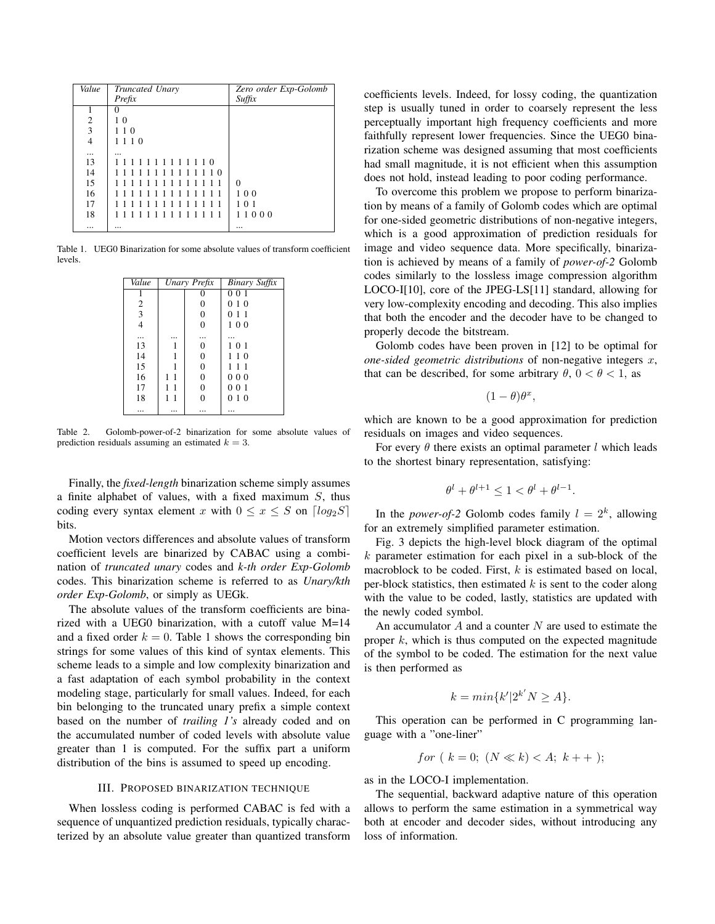| Value          | Truncated Unary                          | Zero order Exp-Golomb |
|----------------|------------------------------------------|-----------------------|
|                | Prefix                                   | Suffix                |
|                |                                          |                       |
| $\overline{2}$ | 10                                       |                       |
| 3              | 110                                      |                       |
| $\overline{4}$ | 1110                                     |                       |
| $\cdots$       |                                          |                       |
| 13             | 1111111111110                            |                       |
| 14             | 1111111111110                            |                       |
| 15             | 1111111111<br>-1<br>$\mathbf{1}$<br>1 1  | 0                     |
| 16             | 1111111111<br>-1<br>111                  | 100                   |
| 17             | 1111111111<br>-1<br>-1<br>$\overline{1}$ | 101                   |
| 18             | 11111111111<br>111                       | 11000                 |
|                |                                          |                       |

Table 1. UEG0 Binarization for some absolute values of transform coefficient levels.

| Value          | <b>Unary Prefix</b> |          | <b>Binary Suffix</b> |
|----------------|---------------------|----------|----------------------|
|                |                     |          | 001                  |
| $\overline{2}$ |                     | $\theta$ | 010                  |
| 3              |                     | $\theta$ | 011                  |
| $\overline{4}$ |                     | $\theta$ | 100                  |
|                |                     |          |                      |
| 13             |                     | 0        | 101                  |
| 14             |                     | $\theta$ | 110                  |
| 15             |                     | $\theta$ | 111                  |
| 16             | 11                  | $\theta$ | 000                  |
| 17             | $1\;1$              | 0        | 001                  |
| 18             |                     | 0        | 010                  |
|                |                     |          |                      |

Table 2. Golomb-power-of-2 binarization for some absolute values of prediction residuals assuming an estimated  $k = 3$ .

Finally, the *fixed-length* binarization scheme simply assumes a finite alphabet of values, with a fixed maximum  $S$ , thus coding every syntax element x with  $0 \le x \le S$  on  $\lceil log_2 S \rceil$ bits.

Motion vectors differences and absolute values of transform coefficient levels are binarized by CABAC using a combination of *truncated unary* codes and *k-th order Exp-Golomb* codes. This binarization scheme is referred to as *Unary/kth order Exp-Golomb*, or simply as UEGk.

The absolute values of the transform coefficients are binarized with a UEG0 binarization, with a cutoff value M=14 and a fixed order  $k = 0$ . Table 1 shows the corresponding bin strings for some values of this kind of syntax elements. This scheme leads to a simple and low complexity binarization and a fast adaptation of each symbol probability in the context modeling stage, particularly for small values. Indeed, for each bin belonging to the truncated unary prefix a simple context based on the number of *trailing 1's* already coded and on the accumulated number of coded levels with absolute value greater than 1 is computed. For the suffix part a uniform distribution of the bins is assumed to speed up encoding.

#### III. PROPOSED BINARIZATION TECHNIQUE

When lossless coding is performed CABAC is fed with a sequence of unquantized prediction residuals, typically characterized by an absolute value greater than quantized transform

coefficients levels. Indeed, for lossy coding, the quantization step is usually tuned in order to coarsely represent the less perceptually important high frequency coefficients and more faithfully represent lower frequencies. Since the UEG0 binarization scheme was designed assuming that most coefficients had small magnitude, it is not efficient when this assumption does not hold, instead leading to poor coding performance.

To overcome this problem we propose to perform binarization by means of a family of Golomb codes which are optimal for one-sided geometric distributions of non-negative integers, which is a good approximation of prediction residuals for image and video sequence data. More specifically, binarization is achieved by means of a family of *power-of-2* Golomb codes similarly to the lossless image compression algorithm LOCO-I[10], core of the JPEG-LS[11] standard, allowing for very low-complexity encoding and decoding. This also implies that both the encoder and the decoder have to be changed to properly decode the bitstream.

Golomb codes have been proven in [12] to be optimal for *one-sided geometric distributions* of non-negative integers x, that can be described, for some arbitrary  $\theta$ ,  $0 < \theta < 1$ , as

$$
(1-\theta)\theta^x,
$$

which are known to be a good approximation for prediction residuals on images and video sequences.

For every  $\theta$  there exists an optimal parameter l which leads to the shortest binary representation, satisfying:

$$
\theta^l + \theta^{l+1} \le 1 < \theta^l + \theta^{l-1}.
$$

In the *power-of-2* Golomb codes family  $l = 2<sup>k</sup>$ , allowing for an extremely simplified parameter estimation.

Fig. 3 depicts the high-level block diagram of the optimal  $k$  parameter estimation for each pixel in a sub-block of the macroblock to be coded. First,  $k$  is estimated based on local, per-block statistics, then estimated  $k$  is sent to the coder along with the value to be coded, lastly, statistics are updated with the newly coded symbol.

An accumulator  $A$  and a counter  $N$  are used to estimate the proper  $k$ , which is thus computed on the expected magnitude of the symbol to be coded. The estimation for the next value is then performed as

$$
k = \min\{k'|2^{k'}N \ge A\}.
$$

This operation can be performed in C programming language with a "one-liner"

$$
for ( k = 0; (N \ll k) < A; k++);
$$

as in the LOCO-I implementation.

The sequential, backward adaptive nature of this operation allows to perform the same estimation in a symmetrical way both at encoder and decoder sides, without introducing any loss of information.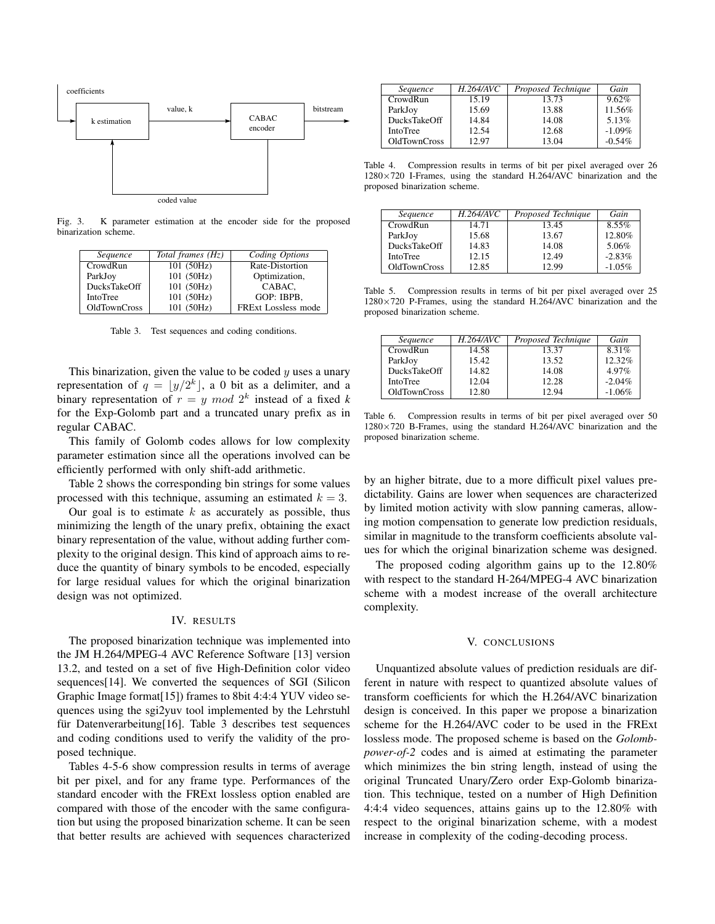

Fig. 3. K parameter estimation at the encoder side for the proposed binarization scheme.

| Sequence            | Total frames $(Hz)$ | Coding Options             |
|---------------------|---------------------|----------------------------|
| CrowdRun            | 101 (50Hz)          | Rate-Distortion            |
| ParkJoy             | 101 (50Hz)          | Optimization,              |
| <b>DucksTakeOff</b> | 101 (50Hz)          | CABAC.                     |
| IntoTree            | 101 (50Hz)          | GOP: IBPB.                 |
| OldTownCross        | 101 (50Hz)          | <b>FRExt Lossless mode</b> |

Table 3. Test sequences and coding conditions.

This binarization, given the value to be coded  $y$  uses a unary representation of  $q = \lfloor y/2^k \rfloor$ , a 0 bit as a delimiter, and a binary representation of  $r = y \mod 2^k$  instead of a fixed k for the Exp-Golomb part and a truncated unary prefix as in regular CABAC.

This family of Golomb codes allows for low complexity parameter estimation since all the operations involved can be efficiently performed with only shift-add arithmetic.

Table 2 shows the corresponding bin strings for some values processed with this technique, assuming an estimated  $k = 3$ .

Our goal is to estimate  $k$  as accurately as possible, thus minimizing the length of the unary prefix, obtaining the exact binary representation of the value, without adding further complexity to the original design. This kind of approach aims to reduce the quantity of binary symbols to be encoded, especially for large residual values for which the original binarization design was not optimized.

#### IV. RESULTS

The proposed binarization technique was implemented into the JM H.264/MPEG-4 AVC Reference Software [13] version 13.2, and tested on a set of five High-Definition color video sequences[14]. We converted the sequences of SGI (Silicon Graphic Image format[15]) frames to 8bit 4:4:4 YUV video sequences using the sgi2yuv tool implemented by the Lehrstuhl für Datenverarbeitung[16]. Table 3 describes test sequences and coding conditions used to verify the validity of the proposed technique.

Tables 4-5-6 show compression results in terms of average bit per pixel, and for any frame type. Performances of the standard encoder with the FRExt lossless option enabled are compared with those of the encoder with the same configuration but using the proposed binarization scheme. It can be seen that better results are achieved with sequences characterized

| Sequence            | <b>H.264/AVC</b> | Proposed Technique | Gain     |
|---------------------|------------------|--------------------|----------|
| CrowdRun            | 15.19            | 13.73              | 9.62%    |
| ParkJoy             | 15.69            | 13.88              | 11.56%   |
| <b>DucksTakeOff</b> | 14.84            | 14.08              | 5.13%    |
| IntoTree            | 12.54            | 12.68              | $-1.09%$ |
| <b>OldTownCross</b> | 12.97            | 13.04              | $-0.54%$ |

Table 4. Compression results in terms of bit per pixel averaged over 26  $1280\times720$  I-Frames, using the standard H.264/AVC binarization and the proposed binarization scheme.

| Sequence            | H.264/AVC | Proposed Technique | Gain      |
|---------------------|-----------|--------------------|-----------|
| CrowdRun            | 14.71     | 13.45              | $8.55\%$  |
| ParkJoy             | 15.68     | 13.67              | 12.80%    |
| <b>DucksTakeOff</b> | 14.83     | 14.08              | 5.06%     |
| <b>IntoTree</b>     | 12.15     | 12.49              | $-2.83%$  |
| <b>OldTownCross</b> | 12.85     | 12.99              | $-1.05\%$ |

Table 5. Compression results in terms of bit per pixel averaged over 25 1280×720 P-Frames, using the standard H.264/AVC binarization and the proposed binarization scheme.

| Sequence            | <b>H.264/AVC</b> | Proposed Technique | Gain      |
|---------------------|------------------|--------------------|-----------|
| CrowdRun            | 14.58            | 13.37              | 8.31%     |
| ParkJoy             | 15.42            | 13.52              | 12.32%    |
| <b>DucksTakeOff</b> | 14.82            | 14.08              | 4.97%     |
| IntoTree            | 12.04            | 12.28              | $-2.04\%$ |
| <b>OldTownCross</b> | 12.80            | 12.94              | $-1.06\%$ |

Table 6. Compression results in terms of bit per pixel averaged over 50 1280×720 B-Frames, using the standard H.264/AVC binarization and the proposed binarization scheme.

by an higher bitrate, due to a more difficult pixel values predictability. Gains are lower when sequences are characterized by limited motion activity with slow panning cameras, allowing motion compensation to generate low prediction residuals, similar in magnitude to the transform coefficients absolute values for which the original binarization scheme was designed.

The proposed coding algorithm gains up to the 12.80% with respect to the standard H-264/MPEG-4 AVC binarization scheme with a modest increase of the overall architecture complexity.

## V. CONCLUSIONS

Unquantized absolute values of prediction residuals are different in nature with respect to quantized absolute values of transform coefficients for which the H.264/AVC binarization design is conceived. In this paper we propose a binarization scheme for the H.264/AVC coder to be used in the FRExt lossless mode. The proposed scheme is based on the *Golombpower-of-2* codes and is aimed at estimating the parameter which minimizes the bin string length, instead of using the original Truncated Unary/Zero order Exp-Golomb binarization. This technique, tested on a number of High Definition 4:4:4 video sequences, attains gains up to the 12.80% with respect to the original binarization scheme, with a modest increase in complexity of the coding-decoding process.